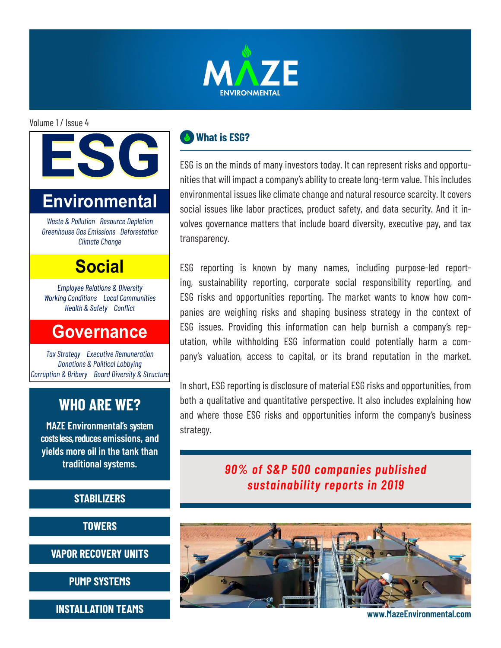

Volume 1 / Issue 4

# IS G **Environmental**

*Waste & Pollution Resource Depletion Greenhouse Gas Emissions Deforestation Climate Change*

## **Social**

**Employee Relations & Diversity Working Conditions** Local Communities Health & Safety Conflict

## **Governance**

*Tax Strategy Executive Remuneration Donations & Political Lobbying Corruption & Bribery Board Diversity & Structure*

## **WHO ARE WE?**

**MAZE Environmental's system costs less, reduces emissions, and yields more oil in the tank than traditional systems.**

#### **STABILIZERS**

**TOWERS**

**VAPOR RECOVERY UNITS**

**PUMP SYSTEMS**

**INSTALLATION TEAMS**

### **What is ESG?**

ESG is on the minds of many investors today. It can represent risks and opportunities that will impact a company's ability to create long-term value. This includes environmental issues like climate change and natural resource scarcity. It covers social issues like labor practices, product safety, and data security. And it involves governance matters that include board diversity, executive pay, and tax transparency.

ESG reporting is known by many names, including purpose-led reporting, sustainability reporting, corporate social responsibility reporting, and ESG risks and opportunities reporting. The market wants to know how companies are weighing risks and shaping business strategy in the context of ESG issues. Providing this information can help burnish a company's reputation, while withholding ESG information could potentially harm a company's valuation, access to capital, or its brand reputation in the market.

In short, ESG reporting is disclosure of material ESG risks and opportunities, from both a qualitative and quantitative perspective. It also includes explaining how and where those ESG risks and opportunities inform the company's business strategy.

> *90% of S&P 500 companies published sustainability reports in 2019*



**www.MazeEnvironmental.com**